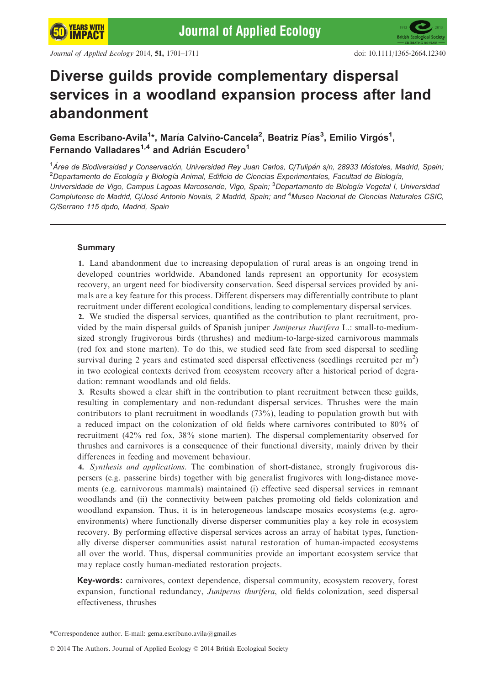# Diverse guilds provide complementary dispersal services in a woodland expansion process after land abandonment

Gema Escribano-Avila<sup>1</sup>\*, María Calviño-Cancela<sup>2</sup>, Beatriz Pías<sup>3</sup>, Emilio Virgós<sup>1</sup>, Fernando Valladares<sup>1,4</sup> and Adrián Escudero<sup>1</sup>

<sup>1</sup>Área de Biodiversidad y Conservación, Universidad Rey Juan Carlos, C/Tulipán s/n, 28933 Móstoles, Madrid, Spain,  $^2$ Departamento de Ecología y Biología Animal, Edificio de Ciencias Experimentales, Facultad de Biología, Universidade de Vigo, Campus Lagoas Marcosende, Vigo, Spain; <sup>3</sup>Departamento de Biología Vegetal I, Universidad Complutense de Madrid, C/José Antonio Novais, 2 Madrid, Spain; and <sup>4</sup>Museo Nacional de Ciencias Naturales CSIC, C/Serrano 115 dpdo, Madrid, Spain

# Summary

1. Land abandonment due to increasing depopulation of rural areas is an ongoing trend in developed countries worldwide. Abandoned lands represent an opportunity for ecosystem recovery, an urgent need for biodiversity conservation. Seed dispersal services provided by animals are a key feature for this process. Different dispersers may differentially contribute to plant recruitment under different ecological conditions, leading to complementary dispersal services.

2. We studied the dispersal services, quantified as the contribution to plant recruitment, provided by the main dispersal guilds of Spanish juniper Juniperus thurifera L.: small-to-mediumsized strongly frugivorous birds (thrushes) and medium-to-large-sized carnivorous mammals (red fox and stone marten). To do this, we studied seed fate from seed dispersal to seedling survival during 2 years and estimated seed dispersal effectiveness (seedlings recruited per  $m<sup>2</sup>$ ) in two ecological contexts derived from ecosystem recovery after a historical period of degradation: remnant woodlands and old fields.

3. Results showed a clear shift in the contribution to plant recruitment between these guilds, resulting in complementary and non-redundant dispersal services. Thrushes were the main contributors to plant recruitment in woodlands (73%), leading to population growth but with a reduced impact on the colonization of old fields where carnivores contributed to 80% of recruitment (42% red fox, 38% stone marten). The dispersal complementarity observed for thrushes and carnivores is a consequence of their functional diversity, mainly driven by their differences in feeding and movement behaviour.

4. Synthesis and applications. The combination of short-distance, strongly frugivorous dispersers (e.g. passerine birds) together with big generalist frugivores with long-distance movements (e.g. carnivorous mammals) maintained (i) effective seed dispersal services in remnant woodlands and (ii) the connectivity between patches promoting old fields colonization and woodland expansion. Thus, it is in heterogeneous landscape mosaics ecosystems (e.g. agroenvironments) where functionally diverse disperser communities play a key role in ecosystem recovery. By performing effective dispersal services across an array of habitat types, functionally diverse disperser communities assist natural restoration of human-impacted ecosystems all over the world. Thus, dispersal communities provide an important ecosystem service that may replace costly human-mediated restoration projects.

Key-words: carnivores, context dependence, dispersal community, ecosystem recovery, forest expansion, functional redundancy, Juniperus thurifera, old fields colonization, seed dispersal effectiveness, thrushes

\*Correspondence author. E-mail: gema.escribano.avila@gmail.es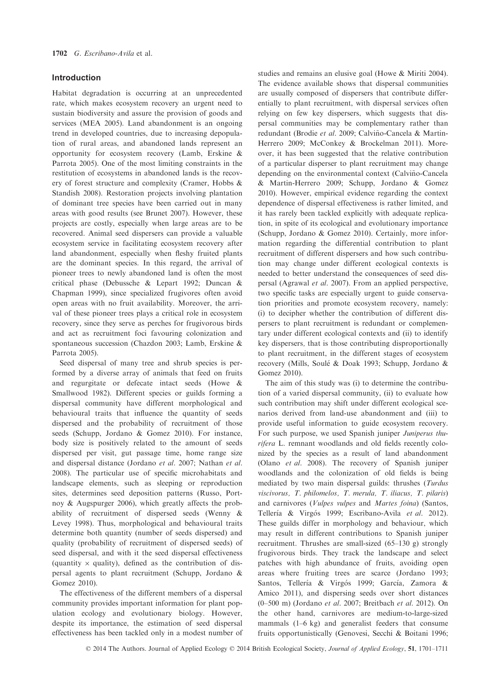# Introduction

Habitat degradation is occurring at an unprecedented rate, which makes ecosystem recovery an urgent need to sustain biodiversity and assure the provision of goods and services (MEA 2005). Land abandonment is an ongoing trend in developed countries, due to increasing depopulation of rural areas, and abandoned lands represent an opportunity for ecosystem recovery (Lamb, Erskine & Parrota 2005). One of the most limiting constraints in the restitution of ecosystems in abandoned lands is the recovery of forest structure and complexity (Cramer, Hobbs & Standish 2008). Restoration projects involving plantation of dominant tree species have been carried out in many areas with good results (see Brunet 2007). However, these projects are costly, especially when large areas are to be recovered. Animal seed dispersers can provide a valuable ecosystem service in facilitating ecosystem recovery after land abandonment, especially when fleshy fruited plants are the dominant species. In this regard, the arrival of pioneer trees to newly abandoned land is often the most critical phase (Debussche & Lepart 1992; Duncan & Chapman 1999), since specialized frugivores often avoid open areas with no fruit availability. Moreover, the arrival of these pioneer trees plays a critical role in ecosystem recovery, since they serve as perches for frugivorous birds and act as recruitment foci favouring colonization and spontaneous succession (Chazdon 2003; Lamb, Erskine & Parrota 2005).

Seed dispersal of many tree and shrub species is performed by a diverse array of animals that feed on fruits and regurgitate or defecate intact seeds (Howe & Smallwood 1982). Different species or guilds forming a dispersal community have different morphological and behavioural traits that influence the quantity of seeds dispersed and the probability of recruitment of those seeds (Schupp, Jordano & Gomez 2010). For instance, body size is positively related to the amount of seeds dispersed per visit, gut passage time, home range size and dispersal distance (Jordano et al. 2007; Nathan et al. 2008). The particular use of specific microhabitats and landscape elements, such as sleeping or reproduction sites, determines seed deposition patterns (Russo, Portnoy & Augspurger 2006), which greatly affects the probability of recruitment of dispersed seeds (Wenny & Levey 1998). Thus, morphological and behavioural traits determine both quantity (number of seeds dispersed) and quality (probability of recruitment of dispersed seeds) of seed dispersal, and with it the seed dispersal effectiveness (quantity  $\times$  quality), defined as the contribution of dispersal agents to plant recruitment (Schupp, Jordano & Gomez 2010).

The effectiveness of the different members of a dispersal community provides important information for plant population ecology and evolutionary biology. However, despite its importance, the estimation of seed dispersal effectiveness has been tackled only in a modest number of studies and remains an elusive goal (Howe & Miriti 2004). The evidence available shows that dispersal communities are usually composed of dispersers that contribute differentially to plant recruitment, with dispersal services often relying on few key dispersers, which suggests that dispersal communities may be complementary rather than redundant (Brodie et al. 2009; Calviño-Cancela & Martin-Herrero 2009; McConkey & Brockelman 2011). Moreover, it has been suggested that the relative contribution of a particular disperser to plant recruitment may change depending on the environmental context (Calvino-Cancela ~ & Martin-Herrero 2009; Schupp, Jordano & Gomez 2010). However, empirical evidence regarding the context dependence of dispersal effectiveness is rather limited, and it has rarely been tackled explicitly with adequate replication, in spite of its ecological and evolutionary importance (Schupp, Jordano & Gomez 2010). Certainly, more information regarding the differential contribution to plant recruitment of different dispersers and how such contribution may change under different ecological contexts is needed to better understand the consequences of seed dispersal (Agrawal et al. 2007). From an applied perspective, two specific tasks are especially urgent to guide conservation priorities and promote ecosystem recovery, namely: (i) to decipher whether the contribution of different dispersers to plant recruitment is redundant or complementary under different ecological contexts and (ii) to identify key dispersers, that is those contributing disproportionally to plant recruitment, in the different stages of ecosystem recovery (Mills, Soule & Doak 1993; Schupp, Jordano & Gomez 2010).

The aim of this study was (i) to determine the contribution of a varied dispersal community, (ii) to evaluate how such contribution may shift under different ecological scenarios derived from land-use abandonment and (iii) to provide useful information to guide ecosystem recovery. For such purpose, we used Spanish juniper Juniperus thurifera L. remnant woodlands and old fields recently colonized by the species as a result of land abandonment (Olano et al. 2008). The recovery of Spanish juniper woodlands and the colonization of old fields is being mediated by two main dispersal guilds: thrushes (Turdus viscivorus, T. philomelos, T. merula, T. iliacus, T. pilaris) and carnivores (Vulpes vulpes and Martes foina) (Santos, Tellería & Virgós 1999; Escribano-Avila et al. 2012). These guilds differ in morphology and behaviour, which may result in different contributions to Spanish juniper recruitment. Thrushes are small-sized (65–130 g) strongly frugivorous birds. They track the landscape and select patches with high abundance of fruits, avoiding open areas where fruiting trees are scarce (Jordano 1993; Santos, Tellería & Virgós 1999; García, Zamora & Amico 2011), and dispersing seeds over short distances (0–500 m) (Jordano et al. 2007; Breitbach et al. 2012). On the other hand, carnivores are medium-to-large-sized mammals (1–6 kg) and generalist feeders that consume fruits opportunistically (Genovesi, Secchi & Boitani 1996;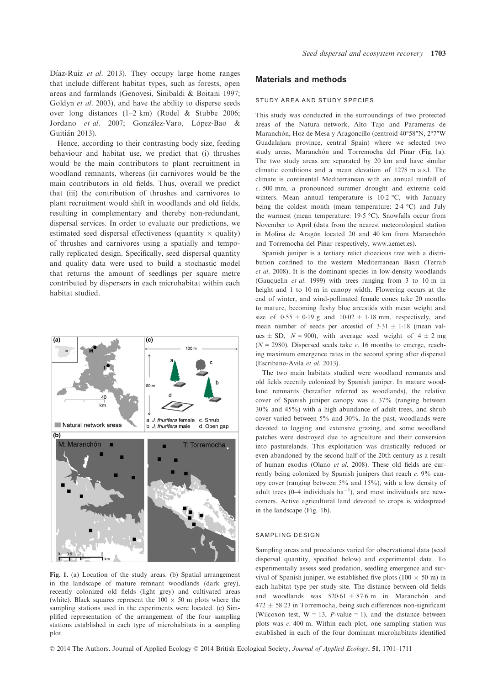Díaz-Ruiz et al. 2013). They occupy large home ranges that include different habitat types, such as forests, open areas and farmlands (Genovesi, Sinibaldi & Boitani 1997; Goldyn et al. 2003), and have the ability to disperse seeds over long distances (1–2 km) (Rodel & Stubbe 2006; Jordano et al. 2007; González-Varo, López-Bao & Guitian 2013).

Hence, according to their contrasting body size, feeding behaviour and habitat use, we predict that (i) thrushes would be the main contributors to plant recruitment in woodland remnants, whereas (ii) carnivores would be the main contributors in old fields. Thus, overall we predict that (iii) the contribution of thrushes and carnivores to plant recruitment would shift in woodlands and old fields, resulting in complementary and thereby non-redundant, dispersal services. In order to evaluate our predictions, we estimated seed dispersal effectiveness (quantity  $\times$  quality) of thrushes and carnivores using a spatially and temporally replicated design. Specifically, seed dispersal quantity and quality data were used to build a stochastic model that returns the amount of seedlings per square metre contributed by dispersers in each microhabitat within each habitat studied.



Fig. 1. (a) Location of the study areas. (b) Spatial arrangement in the landscape of mature remnant woodlands (dark grey), recently colonized old fields (light grey) and cultivated areas (white). Black squares represent the  $100 \times 50$  m plots where the sampling stations used in the experiments were located. (c) Simplified representation of the arrangement of the four sampling stations established in each type of microhabitats in a sampling plot.

# Materials and methods

#### STUDY AREA AND STUDY SPECIES

This study was conducted in the surroundings of two protected areas of the Natura network, Alto Tajo and Parameras de Maranchón, Hoz de Mesa y Aragoncillo (centroid 40°58"N, 2°7"W Guadalajara province, central Spain) where we selected two study areas, Maranchón and Torremocha del Pinar (Fig. 1a). The two study areas are separated by 20 km and have similar climatic conditions and a mean elevation of 1278 m a.s.l. The climate is continental Mediterranean with an annual rainfall of c. 500 mm, a pronounced summer drought and extreme cold winters. Mean annual temperature is 10.2 °C, with January being the coldest month (mean temperature: 2.4 °C) and July the warmest (mean temperature: 19.5 °C). Snowfalls occur from November to April (data from the nearest meteorological station in Molina de Aragón located 20 and 40 km from Maranchón and Torremocha del Pinar respectively, www.aemet.es).

Spanish juniper is a tertiary relict dioecious tree with a distribution confined to the western Mediterranean Basin (Terrab et al. 2008). It is the dominant species in low-density woodlands (Gauquelin et al. 1999) with trees ranging from 3 to 10 m in height and 1 to 10 m in canopy width. Flowering occurs at the end of winter, and wind-pollinated female cones take 20 months to mature, becoming fleshy blue arcestids with mean weight and size of  $0.55 \pm 0.19$  g and  $10.02 \pm 1.18$  mm, respectively, and mean number of seeds per arcestid of  $3.31 \pm 1.18$  (mean values  $\pm$  SD,  $N = 900$ , with average seed weight of  $4 \pm 2$  mg  $(N = 2980)$ . Dispersed seeds take c. 16 months to emerge, reaching maximum emergence rates in the second spring after dispersal (Escribano-Avila et al. 2013).

The two main habitats studied were woodland remnants and old fields recently colonized by Spanish juniper. In mature woodland remnants (hereafter referred as woodlands), the relative cover of Spanish juniper canopy was c. 37% (ranging between 30% and 45%) with a high abundance of adult trees, and shrub cover varied between 5% and 30%. In the past, woodlands were devoted to logging and extensive grazing, and some woodland patches were destroyed due to agriculture and their conversion into pasturelands. This exploitation was drastically reduced or even abandoned by the second half of the 20th century as a result of human exodus (Olano et al. 2008). These old fields are currently being colonized by Spanish junipers that reach c. 9% canopy cover (ranging between 5% and 15%), with a low density of adult trees  $(0-4$  individuals ha<sup>-1</sup>), and most individuals are newcomers. Active agricultural land devoted to crops is widespread in the landscape (Fig. 1b).

#### SAMPLING DESIGN

Sampling areas and procedures varied for observational data (seed dispersal quantity, specified below) and experimental data. To experimentally assess seed predation, seedling emergence and survival of Spanish juniper, we established five plots (100  $\times$  50 m) in each habitat type per study site. The distance between old fields and woodlands was  $520.61 \pm 87.6$  m in Maranchon and  $472 \pm 58.23$  in Torremocha, being such differences non-significant (Wilcoxon test,  $W = 13$ , *P*-value = 1), and the distance between plots was c. 400 m. Within each plot, one sampling station was established in each of the four dominant microhabitats identified

© 2014 The Authors. Journal of Applied Ecology © 2014 British Ecological Society, Journal of Applied Ecology, 51, 1701–1711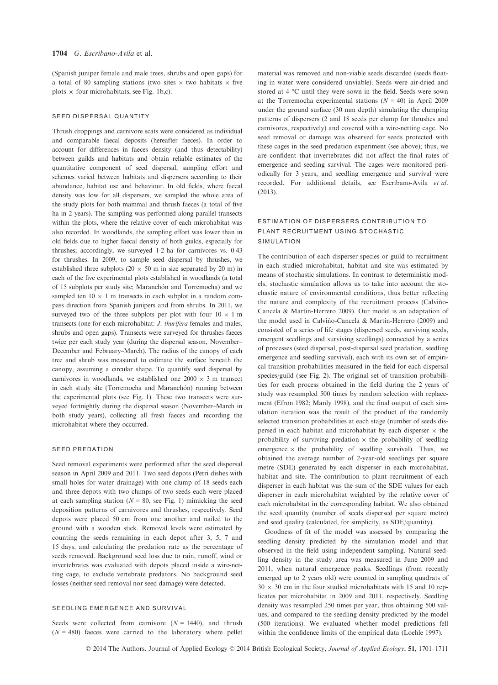(Spanish juniper female and male trees, shrubs and open gaps) for a total of 80 sampling stations (two sites  $\times$  two habitats  $\times$  five plots  $\times$  four microhabitats, see Fig. 1b,c).

#### SEED DISPERSAL QUANTITY

Thrush droppings and carnivore scats were considered as individual and comparable faecal deposits (hereafter faeces). In order to account for differences in faeces density (and thus detectability) between guilds and habitats and obtain reliable estimates of the quantitative component of seed dispersal, sampling effort and schemes varied between habitats and dispersers according to their abundance, habitat use and behaviour. In old fields, where faecal density was low for all dispersers, we sampled the whole area of the study plots for both mammal and thrush faeces (a total of five ha in 2 years). The sampling was performed along parallel transects within the plots, where the relative cover of each microhabitat was also recorded. In woodlands, the sampling effort was lower than in old fields due to higher faecal density of both guilds, especially for thrushes; accordingly, we surveyed 12 ha for carnivores vs. 043 for thrushes. In 2009, to sample seed dispersal by thrushes, we established three subplots (20  $\times$  50 m in size separated by 20 m) in each of the five experimental plots established in woodlands (a total of 15 subplots per study site; Maranchón and Torremocha) and we sampled ten  $10 \times 1$  m transects in each subplot in a random compass direction from Spanish junipers and from shrubs. In 2011, we surveyed two of the three subplots per plot with four  $10 \times 1$  m transects (one for each microhabitat: J. thurifera females and males, shrubs and open gaps). Transects were surveyed for thrushes faeces twice per each study year (during the dispersal season, November– December and February–March). The radius of the canopy of each tree and shrub was measured to estimate the surface beneath the canopy, assuming a circular shape. To quantify seed dispersal by carnivores in woodlands, we established one  $2000 \times 3$  m transect in each study site (Torremocha and Maranchón) running between the experimental plots (see Fig. 1). These two transects were surveyed fortnightly during the dispersal season (November–March in both study years), collecting all fresh faeces and recording the microhabitat where they occurred.

#### SEED PREDATION

Seed removal experiments were performed after the seed dispersal season in April 2009 and 2011. Two seed depots (Petri dishes with small holes for water drainage) with one clump of 18 seeds each and three depots with two clumps of two seeds each were placed at each sampling station ( $N = 80$ , see Fig. 1) mimicking the seed deposition patterns of carnivores and thrushes, respectively. Seed depots were placed 50 cm from one another and nailed to the ground with a wooden stick. Removal levels were estimated by counting the seeds remaining in each depot after 3, 5, 7 and 15 days, and calculating the predation rate as the percentage of seeds removed. Background seed loss due to rain, runoff, wind or invertebrates was evaluated with depots placed inside a wire-netting cage, to exclude vertebrate predators. No background seed losses (neither seed removal nor seed damage) were detected.

# SEEDLING EMERGENCE AND SURVIVAL

Seeds were collected from carnivore  $(N = 1440)$ , and thrush  $(N = 480)$  faeces were carried to the laboratory where pellet material was removed and non-viable seeds discarded (seeds floating in water were considered unviable). Seeds were air-dried and stored at 4 °C until they were sown in the field. Seeds were sown at the Torremocha experimental stations  $(N = 40)$  in April 2009 under the ground surface (30 mm depth) simulating the clumping patterns of dispersers (2 and 18 seeds per clump for thrushes and carnivores, respectively) and covered with a wire-netting cage. No seed removal or damage was observed for seeds protected with these cages in the seed predation experiment (see above); thus, we are confident that invertebrates did not affect the final rates of emergence and seeding survival. The cages were monitored periodically for 3 years, and seedling emergence and survival were recorded. For additional details, see Escribano-Avila et al. (2013).

# ESTIMATION OF DISPERSERS CONTRIBUTION TO PLANT RECRUITMENT USING STOCHASTIC SIMULATION

The contribution of each disperser species or guild to recruitment in each studied microhabitat, habitat and site was estimated by means of stochastic simulations. In contrast to deterministic models, stochastic simulation allows us to take into account the stochastic nature of environmental conditions, thus better reflecting the nature and complexity of the recruitment process (Calviño-Cancela & Martin-Herrero 2009). Our model is an adaptation of the model used in Calviño-Cancela & Martin-Herrero (2009) and consisted of a series of life stages (dispersed seeds, surviving seeds, emergent seedlings and surviving seedlings) connected by a series of processes (seed dispersal, post-dispersal seed predation, seedling emergence and seedling survival), each with its own set of empirical transition probabilities measured in the field for each dispersal species/guild (see Fig. 2). The original set of transition probabilities for each process obtained in the field during the 2 years of study was resampled 500 times by random selection with replacement (Efron 1982; Manly 1998), and the final output of each simulation iteration was the result of the product of the randomly selected transition probabilities at each stage (number of seeds dispersed in each habitat and microhabitat by each disperser  $\times$  the probability of surviving predation  $\times$  the probability of seedling emergence  $\times$  the probability of seedling survival). Thus, we obtained the average number of 2-year-old seedlings per square metre (SDE) generated by each disperser in each microhabitat, habitat and site. The contribution to plant recruitment of each disperser in each habitat was the sum of the SDE values for each disperser in each microhabitat weighted by the relative cover of each microhabitat in the corresponding habitat. We also obtained the seed quantity (number of seeds dispersed per square metre) and seed quality (calculated, for simplicity, as SDE/quantity).

Goodness of fit of the model was assessed by comparing the seedling density predicted by the simulation model and that observed in the field using independent sampling. Natural seedling density in the study area was measured in June 2009 and 2011, when natural emergence peaks. Seedlings (from recently emerged up to 2 years old) were counted in sampling quadrats of  $30 \times 30$  cm in the four studied microhabitats with 15 and 10 replicates per microhabitat in 2009 and 2011, respectively. Seedling density was resampled 250 times per year, thus obtaining 500 values, and compared to the seedling density predicted by the model (500 iterations). We evaluated whether model predictions fell within the confidence limits of the empirical data (Loehle 1997).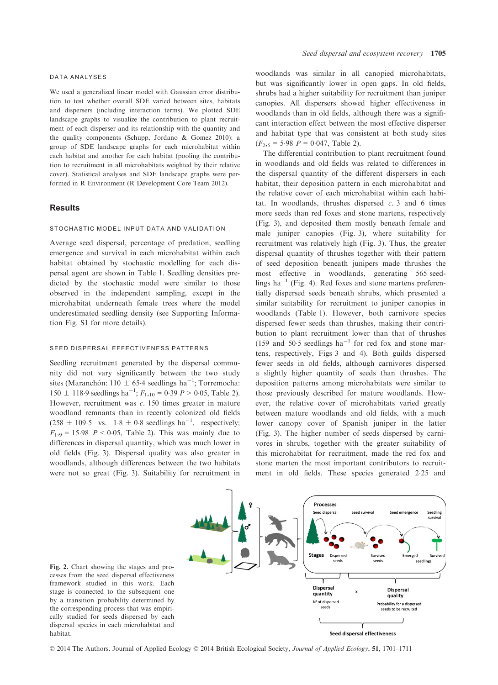#### DATA ANALYSES

We used a generalized linear model with Gaussian error distribution to test whether overall SDE varied between sites, habitats and dispersers (including interaction terms). We plotted SDE landscape graphs to visualize the contribution to plant recruitment of each disperser and its relationship with the quantity and the quality components (Schupp, Jordano & Gomez 2010): a group of SDE landscape graphs for each microhabitat within each habitat and another for each habitat (pooling the contribution to recruitment in all microhabitats weighted by their relative cover). Statistical analyses and SDE landscape graphs were performed in R Environment (R Development Core Team 2012).

# **Results**

# STOCHASTIC MODEL INPUT DATA AND VALIDATION

Average seed dispersal, percentage of predation, seedling emergence and survival in each microhabitat within each habitat obtained by stochastic modelling for each dispersal agent are shown in Table 1. Seedling densities predicted by the stochastic model were similar to those observed in the independent sampling, except in the microhabitat underneath female trees where the model underestimated seedling density (see Supporting Information Fig. S1 for more details).

# SEED DISPERSAL EFFECTIVENESS PATTERNS

Seedling recruitment generated by the dispersal community did not vary significantly between the two study sites (Maranchón:  $110 \pm 65.4$  seedlings ha<sup>-1</sup>; Torremocha:  $150 \pm 118.9$  seedlings ha<sup>-1</sup>;  $F_{1,10} = 0.39$   $P > 0.05$ , Table 2). However, recruitment was  $c$ . 150 times greater in mature woodland remnants than in recently colonized old fields  $(258 \pm 109.5 \text{ vs. } 1.8 \pm 0.8 \text{ seedlings ha}^{-1}, \text{ respectively};$  $F_{1,9} = 15.98 \, P < 0.05$ , Table 2). This was mainly due to differences in dispersal quantity, which was much lower in old fields (Fig. 3). Dispersal quality was also greater in woodlands, although differences between the two habitats were not so great (Fig. 3). Suitability for recruitment in woodlands was similar in all canopied microhabitats, but was significantly lower in open gaps. In old fields, shrubs had a higher suitability for recruitment than juniper canopies. All dispersers showed higher effectiveness in woodlands than in old fields, although there was a significant interaction effect between the most effective disperser and habitat type that was consistent at both study sites  $(F_{2,5} = 5.98 \text{ } P = 0.047, \text{ Table 2}).$ 

The differential contribution to plant recruitment found in woodlands and old fields was related to differences in the dispersal quantity of the different dispersers in each habitat, their deposition pattern in each microhabitat and the relative cover of each microhabitat within each habitat. In woodlands, thrushes dispersed  $c$ . 3 and 6 times more seeds than red foxes and stone martens, respectively (Fig. 3), and deposited them mostly beneath female and male juniper canopies (Fig. 3), where suitability for recruitment was relatively high (Fig. 3). Thus, the greater dispersal quantity of thrushes together with their pattern of seed deposition beneath junipers made thrushes the most effective in woodlands, generating 565 seedlings ha<sup> $-1$ </sup> (Fig. 4). Red foxes and stone martens preferentially dispersed seeds beneath shrubs, which presented a similar suitability for recruitment to juniper canopies in woodlands (Table 1). However, both carnivore species dispersed fewer seeds than thrushes, making their contribution to plant recruitment lower than that of thrushes (159 and 50.5 seedlings  $ha^{-1}$  for red fox and stone martens, respectively, Figs 3 and 4). Both guilds dispersed fewer seeds in old fields, although carnivores dispersed a slightly higher quantity of seeds than thrushes. The deposition patterns among microhabitats were similar to those previously described for mature woodlands. However, the relative cover of microhabitats varied greatly between mature woodlands and old fields, with a much lower canopy cover of Spanish juniper in the latter (Fig. 3). The higher number of seeds dispersed by carnivores in shrubs, together with the greater suitability of this microhabitat for recruitment, made the red fox and stone marten the most important contributors to recruitment in old fields. These species generated 225 and



Fig. 2. Chart showing the stages and processes from the seed dispersal effectiveness framework studied in this work. Each stage is connected to the subsequent one by a transition probability determined by the corresponding process that was empirically studied for seeds dispersed by each dispersal species in each microhabitat and habitat.

© 2014 The Authors. Journal of Applied Ecology © 2014 British Ecological Society, Journal of Applied Ecology, 51, 1701–1711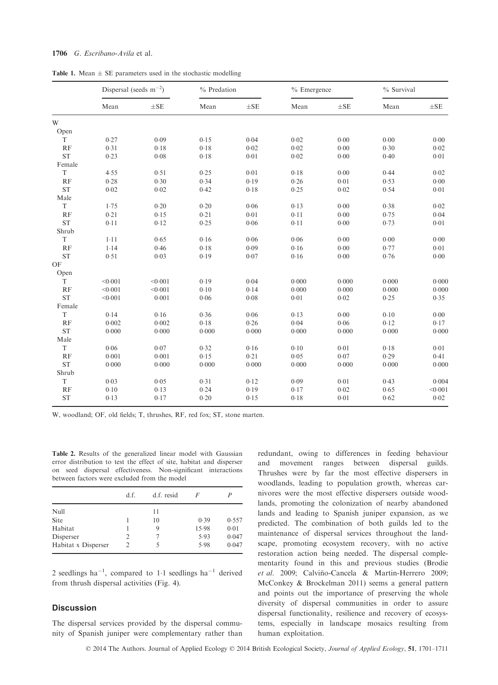# 1706 G. Escribano-Avila et al.

|  |  | <b>Table 1.</b> Mean $\pm$ SE parameters used in the stochastic modelling |  |  |  |
|--|--|---------------------------------------------------------------------------|--|--|--|
|  |  |                                                                           |  |  |  |

|                     | Dispersal (seeds $m^{-2}$ ) |          | % Predation |          | $%$ Emergence |          | % Survival |          |
|---------------------|-----------------------------|----------|-------------|----------|---------------|----------|------------|----------|
|                     | Mean                        | $\pm$ SE | Mean        | $\pm$ SE | Mean          | $\pm$ SE | Mean       | $\pm$ SE |
| W                   |                             |          |             |          |               |          |            |          |
| Open                |                             |          |             |          |               |          |            |          |
| T                   | 0.27                        | 0.09     | 0.15        | 0.04     | 0.02          | 0.00     | 0.00       | 0.00     |
| RF                  | 0.31                        | 0.18     | 0.18        | 0.02     | 0.02          | 0.00     | 0.30       | 0.02     |
| <b>ST</b>           | 0.23                        | 0.08     | 0.18        | 0.01     | 0.02          | 0.00     | 0.40       | 0.01     |
| Female              |                             |          |             |          |               |          |            |          |
| T                   | 4.55                        | 0.51     | 0.25        | 0.01     | 0.18          | 0.00     | 0.44       | 0.02     |
| RF                  | 0.28                        | 0.30     | 0.34        | 0.19     | 0.26          | 0.01     | 0.53       | 0.00     |
| $\operatorname{ST}$ | 0.02                        | 0.02     | 0.42        | 0.18     | 0.25          | 0.02     | 0.54       | 0.01     |
| Male                |                             |          |             |          |               |          |            |          |
| T                   | 1.75                        | 0.20     | 0.20        | 0.06     | 0.13          | 0.00     | 0.38       | 0.02     |
| RF                  | 0.21                        | 0.15     | 0.21        | 0.01     | 0.11          | 0.00     | 0.75       | 0.04     |
| <b>ST</b>           | 0.11                        | 0.12     | 0.25        | 0.06     | 0.11          | 0.00     | 0.73       | 0.01     |
| Shrub               |                             |          |             |          |               |          |            |          |
| T                   | $1 - 11$                    | 0.65     | 0.16        | 0.06     | 0.06          | 0.00     | 0.00       | 0.00     |
| RF                  | 1.14                        | 0.46     | 0.18        | 0.09     | 0.16          | 0.00     | 0.77       | 0.01     |
| <b>ST</b>           | 0.51                        | 0.03     | 0.19        | 0.07     | 0.16          | 0.00     | 0.76       | 0.00     |
| OF                  |                             |          |             |          |               |          |            |          |
| Open                |                             |          |             |          |               |          |            |          |
| T                   | < 0.001                     | < 0.001  | 0.19        | 0.04     | 0.000         | 0.000    | 0.000      | 0.000    |
| RF                  | < 0.001                     | < 0.001  | 0.10        | 0.14     | 0.000         | 0.000    | 0.000      | 0.000    |
| <b>ST</b>           | < 0.001                     | 0.001    | 0.06        | 0.08     | 0.01          | 0.02     | 0.25       | 0.35     |
| Female              |                             |          |             |          |               |          |            |          |
| T                   | 0.14                        | 0.16     | 0.36        | 0.06     | 0.13          | 0.00     | 0.10       | 0.00     |
| RF                  | 0.002                       | 0.002    | 0.18        | 0.26     | 0.04          | 0.06     | 0.12       | 0.17     |
| <b>ST</b>           | 0.000                       | 0.000    | 0.000       | 0.000    | 0.000         | 0.000    | 0.000      | 0.000    |
| Male                |                             |          |             |          |               |          |            |          |
| T                   | 0.06                        | 0.07     | 0.32        | 0.16     | 0.10          | 0.01     | 0.18       | 0.01     |
| RF                  | 0.001                       | 0.001    | 0.15        | 0.21     | 0.05          | 0.07     | 0.29       | 0.41     |
| <b>ST</b>           | 0.000                       | 0.000    | 0.000       | 0.000    | 0.000         | 0.000    | 0.000      | 0.000    |
| Shrub               |                             |          |             |          |               |          |            |          |
| T                   | 0.03                        | 0.05     | 0.31        | 0.12     | 0.09          | 0.01     | 0.43       | 0.004    |
| RF                  | 0.10                        | 0.13     | 0.24        | 0.19     | 0.17          | 0.02     | 0.65       | < 0.001  |
| <b>ST</b>           | 0.13                        | 0.17     | 0.20        | 0.15     | 0.18          | 0.01     | 0.62       | 0.02     |

W, woodland; OF, old fields; T, thrushes, RF, red fox; ST, stone marten.

Table 2. Results of the generalized linear model with Gaussian error distribution to test the effect of site, habitat and disperser on seed dispersal effectiveness. Non-significant interactions between factors were excluded from the model

|                     | d.f.           | d.f. resid | F     | P     |
|---------------------|----------------|------------|-------|-------|
| Null                |                | 11         |       |       |
| Site                |                | 10         | 0.39  | 0.557 |
| Habitat             |                | 9          | 15.98 | 0.01  |
| Disperser           | 2              |            | 5.93  | 0.047 |
| Habitat x Disperser | $\mathfrak{D}$ | 5          | 5.98  | 0.047 |

2 seedlings  $ha^{-1}$ , compared to 1.1 seedlings  $ha^{-1}$  derived from thrush dispersal activities (Fig. 4).

# **Discussion**

The dispersal services provided by the dispersal community of Spanish juniper were complementary rather than redundant, owing to differences in feeding behaviour and movement ranges between dispersal guilds. Thrushes were by far the most effective dispersers in woodlands, leading to population growth, whereas carnivores were the most effective dispersers outside woodlands, promoting the colonization of nearby abandoned lands and leading to Spanish juniper expansion, as we predicted. The combination of both guilds led to the maintenance of dispersal services throughout the landscape, promoting ecosystem recovery, with no active restoration action being needed. The dispersal complementarity found in this and previous studies (Brodie et al. 2009; Calviño-Cancela & Martin-Herrero 2009; McConkey & Brockelman 2011) seems a general pattern and points out the importance of preserving the whole diversity of dispersal communities in order to assure dispersal functionality, resilience and recovery of ecosystems, especially in landscape mosaics resulting from human exploitation.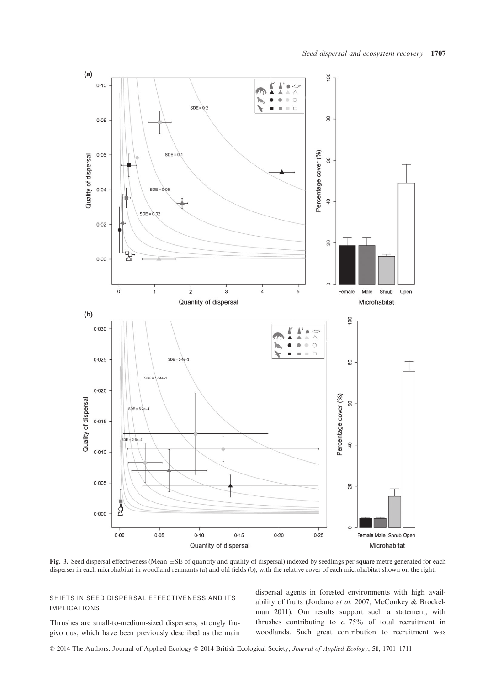

Fig. 3. Seed dispersal effectiveness (Mean  $\pm$ SE of quantity and quality of dispersal) indexed by seedlings per square metre generated for each disperser in each microhabitat in woodland remnants (a) and old fields (b), with the relative cover of each microhabitat shown on the right.

SHIFTS IN SEED DISPERSAL EFFECTIVENESS AND ITS IMPLICATIONS

Thrushes are small-to-medium-sized dispersers, strongly frugivorous, which have been previously described as the main dispersal agents in forested environments with high availability of fruits (Jordano et al. 2007; McConkey & Brockelman 2011). Our results support such a statement, with thrushes contributing to  $c$ . 75% of total recruitment in woodlands. Such great contribution to recruitment was

© 2014 The Authors. Journal of Applied Ecology © 2014 British Ecological Society, Journal of Applied Ecology, 51, 1701–1711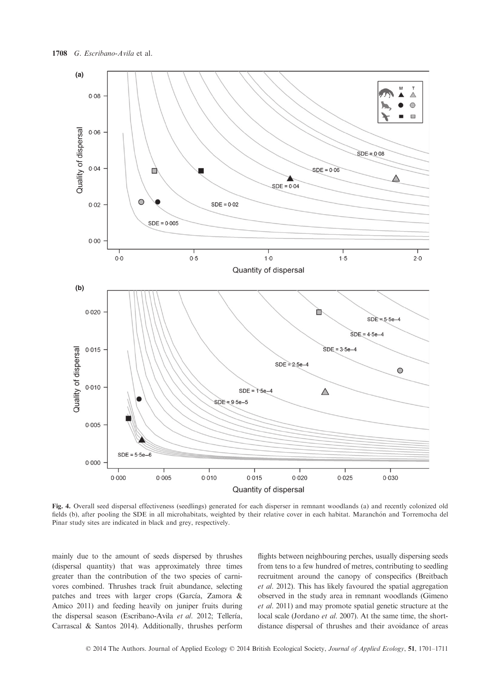

Fig. 4. Overall seed dispersal effectiveness (seedlings) generated for each disperser in remnant woodlands (a) and recently colonized old fields (b), after pooling the SDE in all microhabitats, weighted by their relative cover in each habitat. Maranchón and Torremocha del Pinar study sites are indicated in black and grey, respectively.

mainly due to the amount of seeds dispersed by thrushes (dispersal quantity) that was approximately three times greater than the contribution of the two species of carnivores combined. Thrushes track fruit abundance, selecting patches and trees with larger crops (García, Zamora & Amico 2011) and feeding heavily on juniper fruits during the dispersal season (Escribano-Avila et al. 2012; Tellería, Carrascal & Santos 2014). Additionally, thrushes perform flights between neighbouring perches, usually dispersing seeds from tens to a few hundred of metres, contributing to seedling recruitment around the canopy of conspecifics (Breitbach et al. 2012). This has likely favoured the spatial aggregation observed in the study area in remnant woodlands (Gimeno et al. 2011) and may promote spatial genetic structure at the local scale (Jordano et al. 2007). At the same time, the shortdistance dispersal of thrushes and their avoidance of areas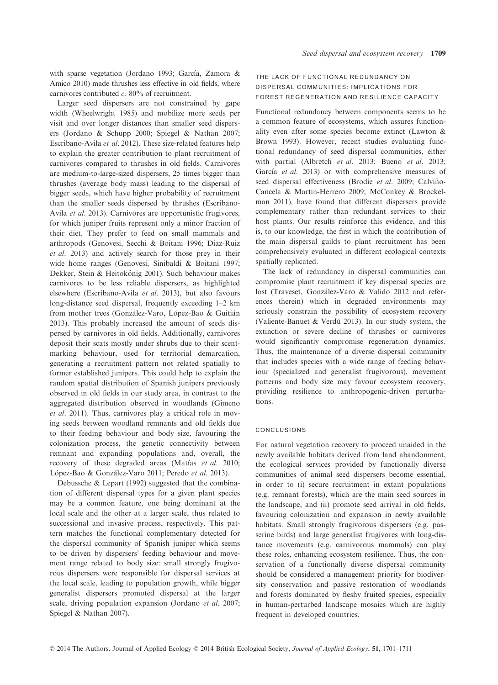with sparse vegetation (Jordano 1993; García, Zamora & Amico 2010) made thrushes less effective in old fields, where carnivores contributed  $c$ . 80% of recruitment.

Larger seed dispersers are not constrained by gape width (Wheelwright 1985) and mobilize more seeds per visit and over longer distances than smaller seed dispersers (Jordano & Schupp 2000; Spiegel & Nathan 2007; Escribano-Avila et al. 2012). These size-related features help to explain the greater contribution to plant recruitment of carnivores compared to thrushes in old fields. Carnivores are medium-to-large-sized dispersers, 25 times bigger than thrushes (average body mass) leading to the dispersal of bigger seeds, which have higher probability of recruitment than the smaller seeds dispersed by thrushes (Escribano-Avila et al. 2013). Carnivores are opportunistic frugivores, for which juniper fruits represent only a minor fraction of their diet. They prefer to feed on small mammals and arthropods (Genovesi, Secchi & Boitani 1996; Díaz-Ruiz et al. 2013) and actively search for those prey in their wide home ranges (Genovesi, Sinibaldi & Boitani 1997; Dekker, Stein & Heitokönig 2001). Such behaviour makes carnivores to be less reliable dispersers, as highlighted elsewhere (Escribano-Avila et al. 2013), but also favours long-distance seed dispersal, frequently exceeding 1–2 km from mother trees (González-Varo, López-Bao & Guitián 2013). This probably increased the amount of seeds dispersed by carnivores in old fields. Additionally, carnivores deposit their scats mostly under shrubs due to their scentmarking behaviour, used for territorial demarcation, generating a recruitment pattern not related spatially to former established junipers. This could help to explain the random spatial distribution of Spanish junipers previously observed in old fields in our study area, in contrast to the aggregated distribution observed in woodlands (Gimeno et al. 2011). Thus, carnivores play a critical role in moving seeds between woodland remnants and old fields due to their feeding behaviour and body size, favouring the colonization process, the genetic connectivity between remnant and expanding populations and, overall, the recovery of these degraded areas (Matías et al. 2010; López-Bao & González-Varo 2011; Peredo et al. 2013).

Debussche & Lepart (1992) suggested that the combination of different dispersal types for a given plant species may be a common feature, one being dominant at the local scale and the other at a larger scale, thus related to successional and invasive process, respectively. This pattern matches the functional complementary detected for the dispersal community of Spanish juniper which seems to be driven by dispersers' feeding behaviour and movement range related to body size: small strongly frugivorous dispersers were responsible for dispersal services at the local scale, leading to population growth, while bigger generalist dispersers promoted dispersal at the larger scale, driving population expansion (Jordano et al. 2007; Spiegel & Nathan 2007).

# THE LACK OF FUNCTIONAL REDUNDANCY ON DISPERSAL COMMUNITIES: IMPLICATIONS FOR FOREST REGENERATION AND RESILIENCE CAPACITY

Functional redundancy between components seems to be a common feature of ecosystems, which assures functionality even after some species become extinct (Lawton & Brown 1993). However, recent studies evaluating functional redundancy of seed dispersal communities, either with partial (Albretch et al. 2013; Bueno et al. 2013; García et al. 2013) or with comprehensive measures of seed dispersal effectiveness (Brodie et al. 2009; Calviño-Cancela & Martin-Herrero 2009; McConkey & Brockelman 2011), have found that different dispersers provide complementary rather than redundant services to their host plants. Our results reinforce this evidence, and this is, to our knowledge, the first in which the contribution of the main dispersal guilds to plant recruitment has been comprehensively evaluated in different ecological contexts spatially replicated.

The lack of redundancy in dispersal communities can compromise plant recruitment if key dispersal species are lost (Traveset, González-Varo & Valido 2012 and references therein) which in degraded environments may seriously constrain the possibility of ecosystem recovery (Valiente-Banuet & Verdú 2013). In our study system, the extinction or severe decline of thrushes or carnivores would significantly compromise regeneration dynamics. Thus, the maintenance of a diverse dispersal community that includes species with a wide range of feeding behaviour (specialized and generalist frugivorous), movement patterns and body size may favour ecosystem recovery, providing resilience to anthropogenic-driven perturbations.

# CONCLUSIONS

For natural vegetation recovery to proceed unaided in the newly available habitats derived from land abandonment, the ecological services provided by functionally diverse communities of animal seed dispersers become essential, in order to (i) secure recruitment in extant populations (e.g. remnant forests), which are the main seed sources in the landscape, and (ii) promote seed arrival in old fields, favouring colonization and expansion in newly available habitats. Small strongly frugivorous dispersers (e.g. passerine birds) and large generalist frugivores with long-distance movements (e.g. carnivorous mammals) can play these roles, enhancing ecosystem resilience. Thus, the conservation of a functionally diverse dispersal community should be considered a management priority for biodiversity conservation and passive restoration of woodlands and forests dominated by fleshy fruited species, especially in human-perturbed landscape mosaics which are highly frequent in developed countries.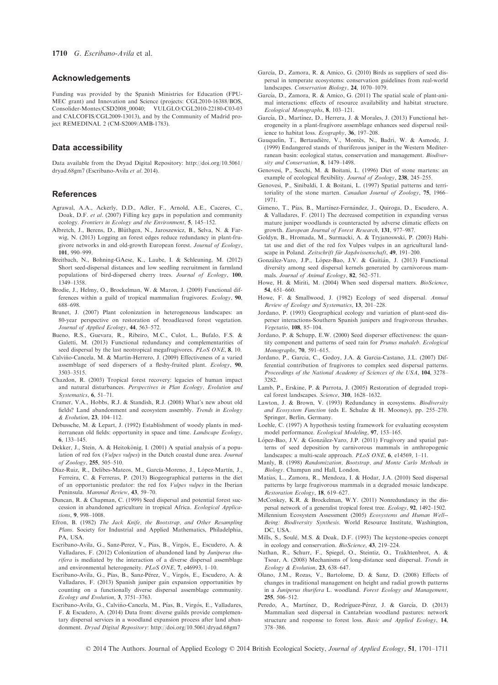## Acknowledgements

Funding was provided by the Spanish Ministries for Education (FPU-MEC grant) and Innovation and Science (projects: CGL2010-16388/BOS, Consolider-Montes/CSD2008\_00040; VULGLO/CGL2010-22180-C03-03 and CALCOFIS/CGL2009-13013), and by the Community of Madrid project REMEDINAL 2 (CM-S2009/AMB-1783).

# Data accessibility

Data available from the Dryad Digital Repository: http://doi.org/10.5061/ dryad.68gm7 (Escribano-Avila et al. 2014).

#### References

- Agrawal, A.A., Ackerly, D.D., Adler, F., Arnold, A.E., Caceres, C., Doak, D.F. et al. (2007) Filling key gaps in population and community
- ecology. Frontiers in Ecology and the Environment, 5, 145–152.<br>Albretch, J., Berens, D., Blüthgen, N., Jaroszewicz, B., Selva, N. & Farwig, N. (2013) Logging an forest edges reduce redundancy in plant-frugivore networks in and old-growth European forest. Journal of Ecology,
- 101, 990–999. Breitbach, N., Bohning-GAese, K., Laube, I. & Schleuning, M. (2012) Short seed-dispersal distances and low seedling recruitment in farmland populations of bird-dispersed cherry trees. Journal of Ecology, 100, 1349–1358.
- Brodie, J., Helmy, O., Brockelman, W. & Maron, J. (2009) Functional differences within a guild of tropical mammalian frugivores. Ecology, 90, 688–698.
- Brunet, J. (2007) Plant colonization in heterogeneous landscapes: an 80-year perspective on restoration of broadleaved forest vegetation. Journal of Applied Ecology, 44, 563–572.
- Bueno, R.S., Guevara, R., Ribeiro, M.C., Culot, L., Bufalo, F.S. & Galetti, M. (2013) Functional redundancy and complementarities of seed dispersal by the last neotropical megafrugivores. PLoS ONE, 8, 10.
- Calvino-Cancela, M. & Martin-Herrero, J. (2009) Effectiveness of a varied ~ assemblage of seed dispersers of a fleshy-fruited plant. Ecology, 90, 3503–3515.
- Chazdon, R. (2003) Tropical forest recovery: legacies of human impact and natural disturbances. Perspectives in Plan Ecology, Evolution and Systematics, 6, 51–71.
- Cramer, V.A., Hobbs, R.J. & Standish, R.J. (2008) What's new about old fields? Land abandonment and ecosystem assembly. Trends in Ecology & Evolution, 23, 104–112.
- Debussche, M. & Lepart, J. (1992) Establishment of woody plants in mediterranean old fields: opportunity in space and time. Landscape Ecology, 6, 133–145.
- Dekker, J., Stein, A. & Heitokönig, I. (2001) A spatial analysis of a population of red fox (Vulpes vulpes) in the Dutch coastal dune area. Journal of Zoology, <sup>255</sup>, 505–510.
- Díaz-Ruiz, R., Delibes-Mateos, M., García-Moreno, J., López-Martín, J., Ferreira, C. & Ferreras, P. (2013) Biogeographical patterns in the diet of an opportunistic predator: the red fox Vulpes vulpes in the Iberian Peninsula. Mammal Review, 43, 59–70.
- Duncan, R. & Chapman, C. (1999) Seed dispersal and potential forest succession in abandoned agriculture in tropical Africa. Ecological Applications, 9, 998–1008.
- Efron, B. (1982) The Jack Knife, the Bootstrap, and Other Resampling Plans. Society for Industrial and Applied Mathematics, Philadelphia, PA, USA.
- Escribano-Avila, G., Sanz-Perez, V., Pias, B., Virgós, E., Escudero, A. & Valladares, F. (2012) Colonization of abandoned land by Juniperus thurifera is mediated by the interaction of a diverse dispersal assemblage and environmental heterogeneity. PLoS ONE, 7, e46993, 1–10.
- Escribano-Avila, G., Pías, B., Sanz-Pérez, V., Virgós, E., Escudero, A. & Valladares, F. (2013) Spanish juniper gain expansion opportunities by counting on a functionally diverse dispersal assemblage community. Ecology and Evolution, 3, 3751–3763.
- Escribano-Avila, G., Calviño-Cancela, M., Pías, B., Virgós, E., Valladares, F. & Escudero, A. (2014) Data from: diverse guilds provide complementary dispersal services in a woodland expansion process after land abandonment. Dryad Digital Repository: http://doi.org/10.5061/dryad.68gm7
- García, D., Zamora, R. & Amico, G. (2010) Birds as suppliers of seed dispersal in temperate ecosystems: conservation guidelines from real-world
- landscapes. Conservation Biology, 24, 1070–1079.<br>García, D., Zamora, R. & Amico, G. (2011) The spatial scale of plant-animal interactions: effects of resource availability and habitat structure.
- Ecological Monographs, 8, 103-121.<br>García, D., Martínez, D., Herrera, J. & Morales, J. (2013) Functional heterogeneity in a plant-frugivore assemblage enhances seed dispersal resilience to habitat loss. Ecography, <sup>36</sup>, 197–208.
- Gauquelin, T., Bertaudière, V., Montès, N., Badri, W. & Asmode, J. (1999) Endangered stands of thuriferous juniper in the Western Mediterranean basin: ecological status, conservation and management. Biodiver-
- sity and Conservation, 8, 1479–1498. Genovesi, P., Secchi, M. & Boitani, L. (1996) Diet of stone martens: an example of ecological flexibility. Journal of Zoology, 238, 245-255.
- Genovesi, P., Sinibaldi, I. & Boitani, L. (1997) Spatial patterns and territoriality of the stone marten. Canadian Journal of Zoology, 75, 1966– 1971.
- Gimeno, T., Pías, B., Martínez-Fernández, J., Quiroga, D., Escudero, A. & Valladares, F. (2011) The decreased competition in expanding versus mature juniper woodlands is counteracted by adverse climatic effects on growth. European Journal of Forest Research, 131, 977–987.
- Goldyn, B., Hromada, M., Surmacki, A. & Tryjanoswski, P. (2003) Habitat use and diet of the red fox Vulpes vulpes in an agricultural landscape in Poland. Zeitschrift für Jagdwissenschaft, 49, 191-200.
- González-Varo, J.P., López-Bao, J.V. & Guitián, J. (2013) Functional diversity among seed dispersal kernels generated by carnivorous mammals. Journal of Animal Ecology, 82, 562–571.
- Howe, H. & Miriti, M. (2004) When seed dispersal matters. BioScience,
- 54, 651–660. Howe, F. & Smallwood, J. (1982) Ecology of seed dispersal. Annual Review of Ecology and Systematics, 13, 201–228.
- Jordano, P. (1993) Geographical ecology and variation of plant-seed disperser interactions-Southern Spanish junipers and frugivorous thrushes.<br>Vegetatio, 108, 85-104.
- Vegetatio, 108, 85-104.<br>Jordano, P. & Schupp, E.W. (2000) Seed disperser effectiveness: the quantity component and patterns of seed rain for Prunus mahaleb. Ecological Monographs, 70, 591–615.
- Jordano, P., Garcia, C., Godoy, J.A. & Garcia-Castano, J.L. (2007) Differential contribution of frugivores to complex seed dispersal patterns. Proceedings of the National Academy of Sciences of the USA, 104, 3278– 3282.
- Lamb, P., Erskine, P. & Parrota, J. (2005) Restoration of degraded tropical forest landscapes. Science, 310, 1628–1632.
- Lawton, J. & Brown, V. (1993) Redundancy in ecosystems. Biodiversity and Ecosystem Function (eds E. Schulze & H. Mooney), pp. 255–270. Springer, Berlin, Germany.
- Loehle, C. (1997) A hypothesis testing framework for evaluating ecosystem model performance. Ecological Modeling, 97, 153–165.
- López-Bao, J.V. & González-Varo, J.P. (2011) Frugivory and spatial patterns of seed deposition by carnivorous mammals in anthropogenic landscapes: a multi-scale approach. PLoS ONE, 6, e14569, 1–11.
- Manly, B. (1998) Randomization, Bootstrap, and Monte Carlo Methods in Biology. Champan and Hall, London.
- Matías, L., Zamora, R., Mendoza, I. & Hodar, J.A. (2010) Seed dispersal patterns by large frugivorous mammals in a degraded mosaic landscape. Restoration Ecology, 18, 619–627.
- McConkey, K.R. & Brockelman, W.Y. (2011) Nonredundancy in the dispersal network of a generalist tropical forest tree. Ecology, 92, 1492–1502.
- Millennium Ecosystem Assessment (2005) Ecosystems and Human Well-- Being: Biodiversity Synthesis. World Resource Institute, Washington, DC, USA.
- Mills, S., Soule, M.S. & Doak, D.F. (1993) The keystone-species concept in ecology and conservation. BioScience, 43, 219–224.
- Nathan, R., Schurr, F., Spiegel, O., Steintiz, O., Trakhtenbrot, A. & Tsoar, A. (2008) Mechanisms of long-distance seed dispersal. Trends in Ecology & Evolution, 23, 638–647.
- Olano, J.M., Rozas, V., Bartolome, D. & Sanz, D. (2008) Effects of changes in traditional management on height and radial growth patterns in a Juniperus thurifera L. woodland. Forest Ecology and Management, <sup>255</sup>, 506–512.
- Peredo, A., Martínez, D., Rodríguez-Pérez, J. & García, D. (2013) Mammalian seed dispersal in Cantabrian woodland pastures: network structure and response to forest loss. Basic and Applied Ecology, 14, 378–386.